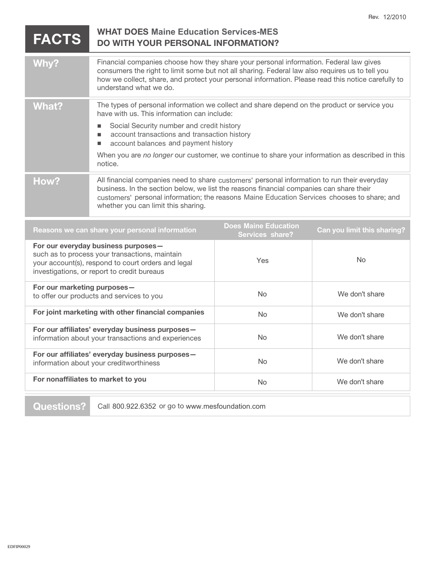| <b>FACTS</b>                                                                                                                                                                               | <b>WHAT DOES Maine Education Services-MES</b><br><b>DO WITH YOUR PERSONAL INFORMATION?</b>                                                                                                                                                                                                                                                                                                                   |                                                |                             |
|--------------------------------------------------------------------------------------------------------------------------------------------------------------------------------------------|--------------------------------------------------------------------------------------------------------------------------------------------------------------------------------------------------------------------------------------------------------------------------------------------------------------------------------------------------------------------------------------------------------------|------------------------------------------------|-----------------------------|
| Why?                                                                                                                                                                                       | Financial companies choose how they share your personal information. Federal law gives<br>consumers the right to limit some but not all sharing. Federal law also requires us to tell you<br>how we collect, share, and protect your personal information. Please read this notice carefully to<br>understand what we do.                                                                                    |                                                |                             |
| <b>What?</b>                                                                                                                                                                               | The types of personal information we collect and share depend on the product or service you<br>have with us. This information can include:<br>Social Security number and credit history<br>п<br>account transactions and transaction history<br>ш<br>account balances and payment history<br>п<br>When you are no longer our customer, we continue to share your information as described in this<br>notice. |                                                |                             |
| How?                                                                                                                                                                                       | All financial companies need to share customers' personal information to run their everyday<br>business. In the section below, we list the reasons financial companies can share their<br>customers' personal information; the reasons Maine Education Services chooses to share; and<br>whether you can limit this sharing.                                                                                 |                                                |                             |
| Reasons we can share your personal information                                                                                                                                             |                                                                                                                                                                                                                                                                                                                                                                                                              | <b>Does Maine Education</b><br>Services share? | Can you limit this sharing? |
| For our everyday business purposes-<br>such as to process your transactions, maintain<br>your account(s), respond to court orders and legal<br>investigations, or report to credit bureaus |                                                                                                                                                                                                                                                                                                                                                                                                              | Yes                                            | <b>No</b>                   |
| For our marketing purposes-<br>to offer our products and services to you                                                                                                                   |                                                                                                                                                                                                                                                                                                                                                                                                              | <b>No</b>                                      | We don't share              |
| For joint marketing with other financial companies                                                                                                                                         |                                                                                                                                                                                                                                                                                                                                                                                                              | No                                             | We don't share              |
| For our affiliates' everyday business purposes-<br>information about your transactions and experiences                                                                                     |                                                                                                                                                                                                                                                                                                                                                                                                              | No                                             | We don't share              |
| For our affiliates' everyday business purposes-<br>information about your creditworthiness                                                                                                 |                                                                                                                                                                                                                                                                                                                                                                                                              | <b>No</b>                                      | We don't share              |
| For nonaffiliates to market to you                                                                                                                                                         |                                                                                                                                                                                                                                                                                                                                                                                                              | <b>No</b>                                      | We don't share              |

**Questions?** Call 800.922.6352 or go to www.mesfoundation.com